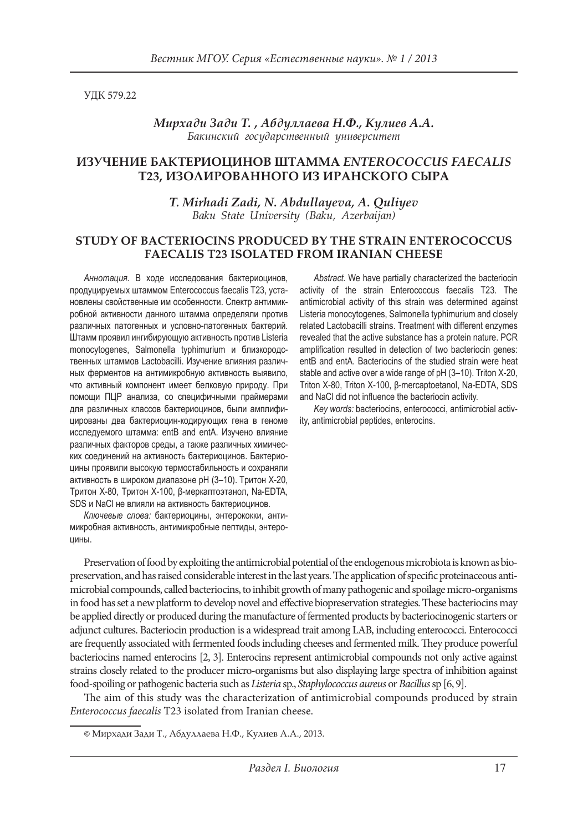УДК 579.22

*Мирхади Зади T.1 , Абдуллаева Н.Ф., Кулиев А.А. Бакинский государственный университет*

# **ИЗУЧЕНИЕ БАКТЕРИОЦИНОВ ШТАММА** *ENTEROCOCCUS FAECALIS* **T23, ИЗОЛИРОВАННОГО ИЗ ИРАНСКОГО СЫРА**

*T. Mirhadi Zadi, N. Abdullayeva, A. Quliyev Baku State University (Baku, Azerbaijan)*

### **STUDY OF BACTERIOCINS PRODUCED BY THE STRAIN ENTEROCOCCUS FAECALIS T23 ISOLATED FROM IRANIAN CHEESE**

*Аннотация.* В ходе исследования бактериоцинов, продуцируемых штаммом Enterococcus faecalis T23, установлены свойственные им особенности. Спектр антимикробной активности данного штамма определяли против различных патогенных и условно-патогенных бактерий. Штамм проявил ингибирующую активность против Listeria monocytogenes, Salmonella typhimurium и близкородственных штаммов Lactobacilli. Изучение влияния различных ферментов на антимикробную активность выявило, что активный компонент имеет белковую природу. При помощи ПЦР анализа, со специфичными праймерами для различных классов бактериоцинов, были амплифицированы два бактериоцин-кодирующих гена в геноме исследуемого штамма: entB and entA. Изучено влияние различных факторов среды, а также различных химических соединений на активность бактериоцинов. Бактериоцины проявили высокую термостабильность и сохраняли активность в широком диапазоне рН (3–10). Tритон X-20, Тритон X-80, Тритон X-100, β-меркаптоэтанол, Na-EDTA, SDS и NaCl не влияли на активность бактериоцинов.

*Ключевые слова:* бактериоцины, энтерококки, антимикробная активность, антимикробные пептиды, энтероцины.

*Abstract.* We have partially characterized the bacteriocin activity of the strain Enterococcus faecalis T23. The antimicrobial activity of this strain was determined against Listeria monocytogenes, Salmonella typhimurium and closely related Lactobacilli strains. Treatment with different enzymes revealed that the active substance has a protein nature. PCR amplification resulted in detection of two bacteriocin genes: entB and entA. Bacteriocins of the studied strain were heat stable and active over a wide range of pH (3–10). Triton X-20, Triton X-80, Triton X-100, β-mercaptoetanol, Na-EDTA, SDS and NaCl did not influence the bacteriocin activity.

*Key words:* bacteriocins, enterococci, antimicrobial activity, antimicrobial peptides, enterocins.

Preservation of food by exploiting the antimicrobial potential of the endogenous microbiota is known as biopreservation, and has raised considerable interest in the last years. The application of specific proteinaceous antimicrobial compounds, called bacteriocins, to inhibit growth of many pathogenic and spoilage micro-organisms in food has set a new platform to develop novel and effective biopreservation strategies. These bacteriocins may be applied directly or produced during the manufacture of fermented products by bacteriocinogenic starters or adjunct cultures. Bacteriocin production is a widespread trait among LAB, including enterococci. Enterococci are frequently associated with fermented foods including cheeses and fermented milk. They produce powerful bacteriocins named enterocins [2, 3]. Enterocins represent antimicrobial compounds not only active against strains closely related to the producer micro-organisms but also displaying large spectra of inhibition against food-spoiling or pathogenic bacteria such as *Listeria* sp., *Staphylococcus aureus* or *Bacillus* sp [6, 9].

The aim of this study was the characterization of antimicrobial compounds produced by strain *Enterococcus faecalis* T23 isolated from Iranian cheese.

<sup>©</sup> Мирхади Зади T., Абдуллаева Н.Ф., Кулиев А.А., 2013.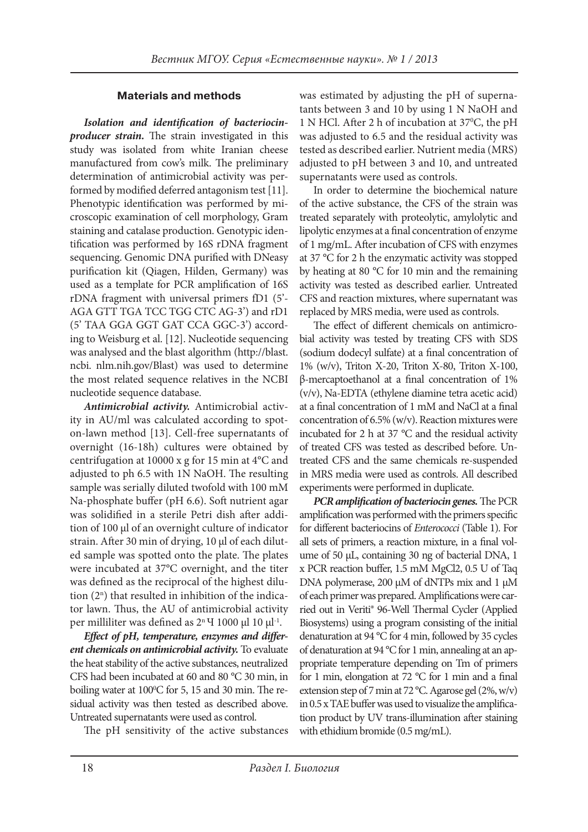# **Materials and methods**

Isolation and identification of bacteriocin*producer strain*. The strain investigated in this study was isolated from white Iranian cheese manufactured from cow's milk. The preliminary determination of antimicrobial activity was performed by modified deferred antagonism test [11]. Phenotypic identification was performed by microscopic examination of cell morphology, Gram staining and catalase production. Genotypic identification was performed by 16S rDNA fragment sequencing. Genomic DNA purified with DNeasy purification kit (Qiagen, Hilden, Germany) was used as a template for PCR amplification of 16S rDNA fragment with universal primers fD1 (5'- AGA GTT TGA TCC TGG CTC AG-3') and rD1 (5' TAA GGA GGT GAT CCA GGC-3') according to Weisburg et al. [12]. Nucleotide sequencing was analysed and the blast algorithm (http://blast. ncbi. nlm.nih.gov/Blast) was used to determine the most related sequence relatives in the NCBI nucleotide sequence database.

*Antimicrobial activity.* Antimicrobial activity in AU/ml was calculated according to spoton-lawn method [13]. Cell-free supernatants of overnight (16-18h) cultures were obtained by centrifugation at 10000 x g for 15 min at 4°C and adjusted to ph 6.5 with 1N NaOH. The resulting sample was serially diluted twofold with 100 mM Na-phosphate buffer (pH 6.6). Soft nutrient agar was solidified in a sterile Petri dish after addition of 100 μl of an overnight culture of indicator strain. After 30 min of drying, 10 μl of each diluted sample was spotted onto the plate. The plates were incubated at 37°C overnight, and the titer was defined as the reciprocal of the highest dilution  $(2^n)$  that resulted in inhibition of the indicator lawn. Thus, the AU of antimicrobial activity per milliliter was defined as 2<sup>n</sup> Ч 1000 μl 10 μl<sup>-1</sup>.

Effect of pH, temperature, enzymes and differ*ent chemicals on antimicrobial activity.* To evaluate the heat stability of the active substances, neutralized CFS had been incubated at 60 and 80 °C 30 min, in boiling water at 100°C for 5, 15 and 30 min. The residual activity was then tested as described above. Untreated supernatants were used as control.

The pH sensitivity of the active substances

was estimated by adjusting the pH of supernatants between 3 and 10 by using 1 N NaOH and 1 N HCl. After 2 h of incubation at 37°C, the pH was adjusted to 6.5 and the residual activity was tested as described earlier. Nutrient media (MRS) adjusted to pH between 3 and 10, and untreated supernatants were used as controls.

In order to determine the biochemical nature of the active substance, the CFS of the strain was treated separately with proteolytic, amylolytic and lipolytic enzymes at a final concentration of enzyme of 1 mg/mL. After incubation of CFS with enzymes at 37 °C for 2 h the enzymatic activity was stopped by heating at 80 °C for 10 min and the remaining activity was tested as described earlier. Untreated CFS and reaction mixtures, where supernatant was replaced by MRS media, were used as controls.

The effect of different chemicals on antimicrobial activity was tested by treating CFS with SDS (sodium dodecyl sulfate) at a final concentration of 1% (w/v), Triton X-20, Triton X-80, Triton X-100,  $β$ -mercaptoethanol at a final concentration of 1% (v/v), Na-EDTA (ethylene diamine tetra acetic acid) at a final concentration of 1 mM and NaCl at a final concentration of 6.5% (w/v). Reaction mixtures were incubated for 2 h at 37 °C and the residual activity of treated CFS was tested as described before. Untreated CFS and the same chemicals re-suspended in MRS media were used as controls. All described experiments were performed in duplicate.

*PCR amplification of bacteriocin genes.* The PCR amplification was performed with the primers specific for different bacteriocins of *Enterococci* (Table 1). For all sets of primers, a reaction mixture, in a final volume of 50 μL, containing 30 ng of bacterial DNA, 1 x PCR reaction buffer, 1.5 mM MgCl2, 0.5 U of Taq DNA polymerase, 200 μM of dNTPs mix and 1 μM of each primer was prepared. Amplifications were carried out in Veriti® 96-Well Thermal Cycler (Applied Biosystems) using a program consisting of the initial denaturation at 94 °C for 4 min, followed by 35 cycles of denaturation at 94 °C for 1 min, annealing at an appropriate temperature depending on Tm of primers for 1 min, elongation at 72  $^{\circ}$ C for 1 min and a final extension step of 7 min at 72 °C. Agarose gel (2%, w/v) in  $0.5$  x TAE buffer was used to visualize the amplification product by UV trans-illumination after staining with ethidium bromide (0.5 mg/mL).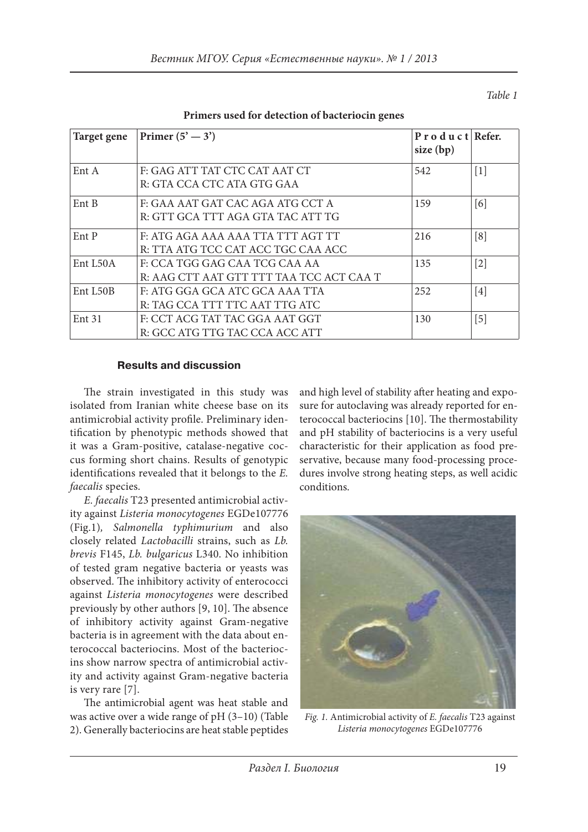*Table 1*

| Target gene       | Primer $(5' - 3')$                                                        | P r o d u c t Refer.<br>size (bp) |                   |
|-------------------|---------------------------------------------------------------------------|-----------------------------------|-------------------|
| Ent A             | F: GAG ATT TAT CTC CAT AAT CT<br>R: GTA CCA CTC ATA GTG GAA               | 542                               | $\lceil 1 \rceil$ |
| Ent B             | F: GAA AAT GAT CAC AGA ATG CCT A<br>R: GTT GCA TTT AGA GTA TAC ATT TG     | 159                               | [6]               |
| Ent P             | F: ATG AGA AAA AAA TTA TTT AGT TT<br>R: TTA ATG TCC CAT ACC TGC CAA ACC   | 216                               | [8]               |
| Ent L50A          | F: CCA TGG GAG CAA TCG CAA AA<br>R: AAG CTT AAT GTT TTT TAA TCC ACT CAA T | 135                               | $[2]$             |
| Ent L50B          | F: ATG GGA GCA ATC GCA AAA TTA<br>R: TAG CCA TTT TTC AAT TTG ATC          | 252                               | [4]               |
| Ent <sub>31</sub> | F: CCT ACG TAT TAC GGA AAT GGT<br>R: GCC ATG TTG TAC CCA ACC ATT          | 130                               | [5]               |

**Primers used for detection of bacteriocin genes**

## **Results and discussion**

The strain investigated in this study was isolated from Iranian white cheese base on its antimicrobial activity profile. Preliminary identification by phenotypic methods showed that it was a Gram-positive, catalase-negative coccus forming short chains. Results of genotypic identifications revealed that it belongs to the *E*. *faecalis* species.

*E. faecalis* T23 presented antimicrobial activity against *Listeria monocytogenes* EGDe107776 (Fig.1)*, Salmonella typhimurium* and also closely related *Lactobacilli* strains, such as *Lb. brevis* F145, *Lb. bulgaricus* L340. No inhibition of tested gram negative bacteria or yeasts was observed. The inhibitory activity of enterococci against *Listeria monocytogenes* were described previously by other authors [9, 10]. The absence of inhibitory activity against Gram-negative bacteria is in agreement with the data about enterococcal bacteriocins. Most of the bacteriocins show narrow spectra of antimicrobial activity and activity against Gram-negative bacteria is very rare [7].

The antimicrobial agent was heat stable and was active over a wide range of pH (3–10) (Table 2). Generally bacteriocins are heat stable peptides and high level of stability after heating and exposure for autoclaving was already reported for enterococcal bacteriocins [10]. The thermostability and pH stability of bacteriocins is a very useful characteristic for their application as food preservative, because many food-processing procedures involve strong heating steps, as well acidic conditions.



*Fig. 1.* Antimicrobial activity of *E. faecalis* T23 against *Listeria monocytogenes* EGDe107776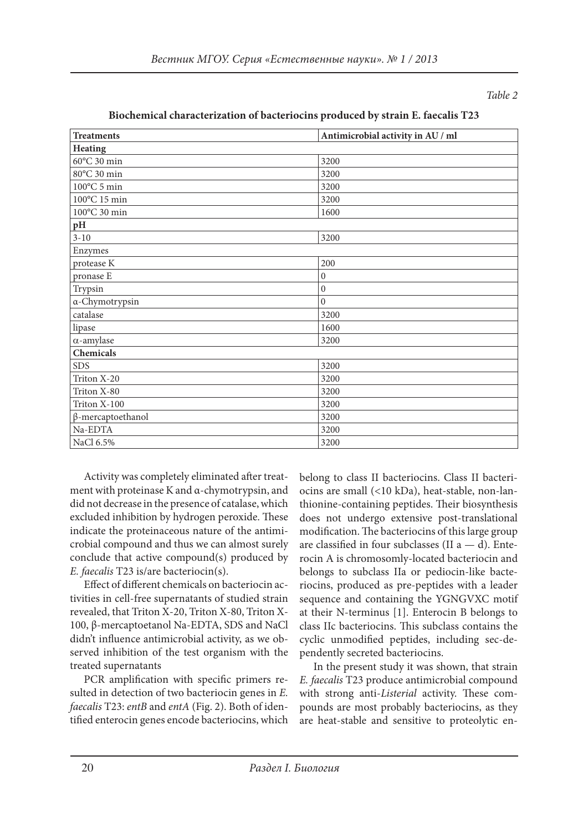*Table 2*

| <b>Treatments</b>           | Antimicrobial activity in AU / ml |  |  |  |
|-----------------------------|-----------------------------------|--|--|--|
| <b>Heating</b>              |                                   |  |  |  |
| 60°C 30 min                 | 3200                              |  |  |  |
| 80°C 30 min                 | 3200                              |  |  |  |
| $100^{\circ}$ C 5 min       | 3200                              |  |  |  |
| 100°C 15 min                | 3200                              |  |  |  |
| $100^{\rm o}{\rm C}$ 30 min | 1600                              |  |  |  |
| pH                          |                                   |  |  |  |
| $3 - 10$                    | 3200                              |  |  |  |
| Enzymes                     |                                   |  |  |  |
| protease K                  | 200                               |  |  |  |
| pronase E                   | $\boldsymbol{0}$                  |  |  |  |
| Trypsin                     | $\mathbf{0}$                      |  |  |  |
| a-Chymotrypsin              | $\mathbf{0}$                      |  |  |  |
| catalase                    | 3200                              |  |  |  |
| lipase                      | 1600                              |  |  |  |
| $\alpha$ -amylase           | 3200                              |  |  |  |
| Chemicals                   |                                   |  |  |  |
| <b>SDS</b>                  | 3200                              |  |  |  |
| Triton X-20                 | 3200                              |  |  |  |
| Triton X-80                 | 3200                              |  |  |  |
| Triton X-100                | 3200                              |  |  |  |
| $\beta$ -mercaptoethanol    | 3200                              |  |  |  |
| Na-EDTA                     | 3200                              |  |  |  |
| NaCl 6.5%                   | 3200                              |  |  |  |

### **Biochemical characterization of bacteriocins produced by strain E. faecalis T23**

Activity was completely eliminated after treatment with proteinase K and α-chymotrypsin, and did not decrease in the presence of catalase, which excluded inhibition by hydrogen peroxide. These indicate the proteinaceous nature of the antimicrobial compound and thus we can almost surely conclude that active compound(s) produced by *E. faecalis* T23 is/are bacteriocin(s).

Effect of different chemicals on bacteriocin activities in cell-free supernatants of studied strain revealed, that Triton X-20, Triton X-80, Triton X-100, β-mercaptoetanol Na-EDTA, SDS and NaCl didn't influence antimicrobial activity, as we observed inhibition of the test organism with the treated supernatants

PCR amplification with specific primers resulted in detection of two bacteriocin genes in *E. faecalis* T23: *entB* and *entA* (Fig. 2). Both of identified enterocin genes encode bacteriocins, which

belong to class II bacteriocins. Class II bacteriocins are small (<10 kDa), heat-stable, non-lanthionine-containing peptides. Their biosynthesis does not undergo extensive post-translational modification. The bacteriocins of this large group are classified in four subclasses (II  $a - d$ ). Enterocin A is chromosomly-located bacteriocin and belongs to subclass IIa or pediocin-like bacteriocins, produced as pre-peptides with a leader sequence and containing the YGNGVXC motif at their N-terminus [1]. Enterocin B belongs to class IIc bacteriocins. This subclass contains the cyclic unmodified peptides, including sec-dependently secreted bacteriocins.

In the present study it was shown, that strain *E. faecalis* T23 produce antimicrobial compound with strong anti-*Listerial* activity. These compounds are most probably bacteriocins, as they are heat-stable and sensitive to proteolytic en-